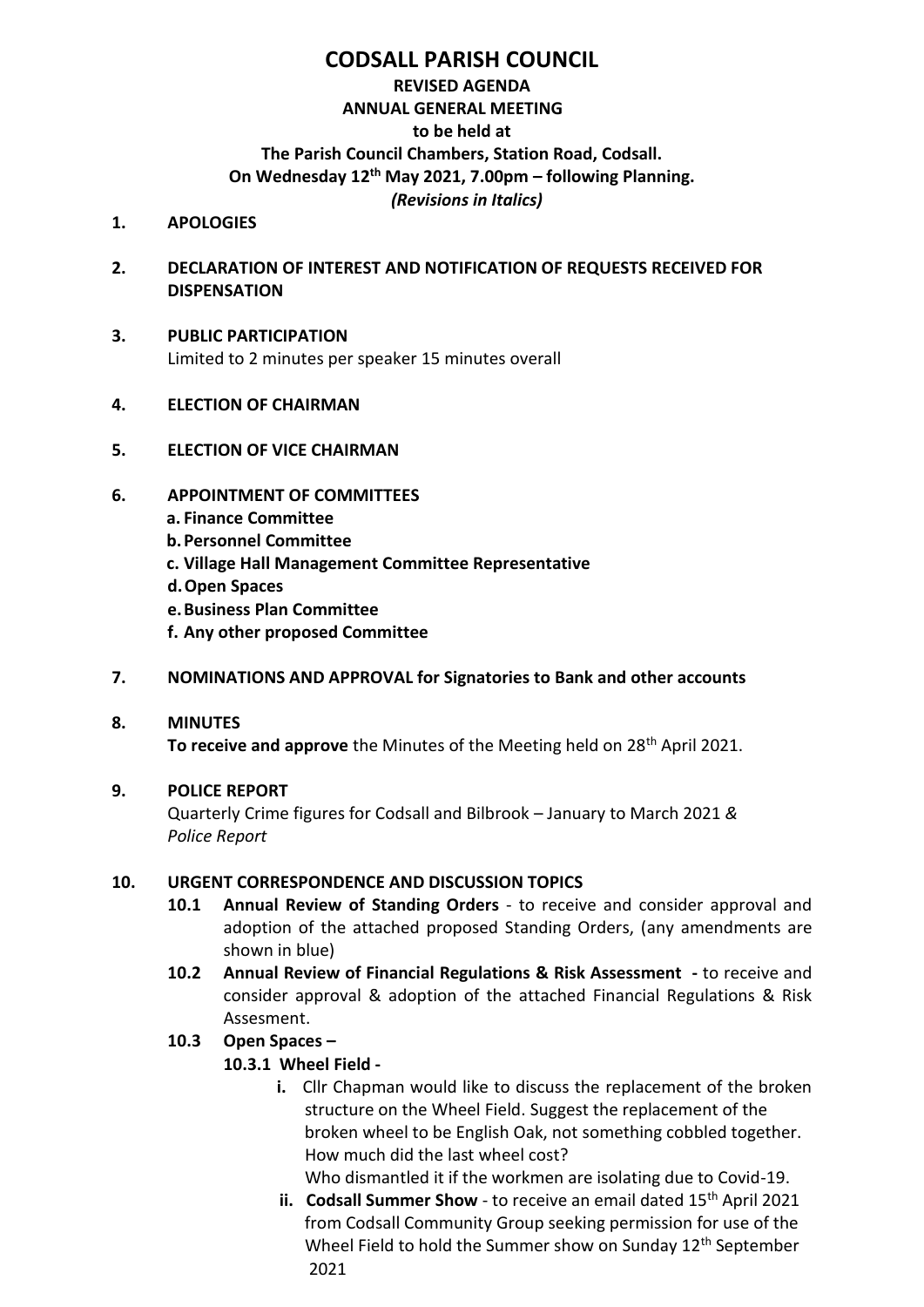# **CODSALL PARISH COUNCIL**

## **REVISED AGENDA ANNUAL GENERAL MEETING to be held at The Parish Council Chambers, Station Road, Codsall. On Wednesday 12 th May 2021, 7.00pm – following Planning.** *(Revisions in Italics)*

- **1. APOLOGIES**
- **2. DECLARATION OF INTEREST AND NOTIFICATION OF REQUESTS RECEIVED FOR DISPENSATION**
- **3. PUBLIC PARTICIPATION** Limited to 2 minutes per speaker 15 minutes overall
- **4. ELECTION OF CHAIRMAN**
- **5. ELECTION OF VICE CHAIRMAN**
- **6. APPOINTMENT OF COMMITTEES**
	- **a. Finance Committee**
	- **b.Personnel Committee**
	- **c. Village Hall Management Committee Representative**
	- **d.Open Spaces**
	- **e.Business Plan Committee**
	- **f. Any other proposed Committee**

#### **7. NOMINATIONS AND APPROVAL for Signatories to Bank and other accounts**

#### **8. MINUTES**

**To receive and approve** the Minutes of the Meeting held on 28<sup>th</sup> April 2021.

## **9. POLICE REPORT**

Quarterly Crime figures for Codsall and Bilbrook – January to March 2021 *& Police Report*

#### **10. URGENT CORRESPONDENCE AND DISCUSSION TOPICS**

- **10.1 Annual Review of Standing Orders** to receive and consider approval and adoption of the attached proposed Standing Orders, (any amendments are shown in blue)
- **10.2 Annual Review of Financial Regulations & Risk Assessment -** to receive and consider approval & adoption of the attached Financial Regulations & Risk Assesment.

## **10.3 Open Spaces –**

## **10.3.1 Wheel Field -**

**i.** Cllr Chapman would like to discuss the replacement of the broken structure on the Wheel Field. Suggest the replacement of the broken wheel to be English Oak, not something cobbled together. How much did the last wheel cost?

Who dismantled it if the workmen are isolating due to Covid-19.

**ii. Codsall Summer Show** - to receive an email dated 15<sup>th</sup> April 2021 from Codsall Community Group seeking permission for use of the Wheel Field to hold the Summer show on Sunday  $12<sup>th</sup>$  September 2021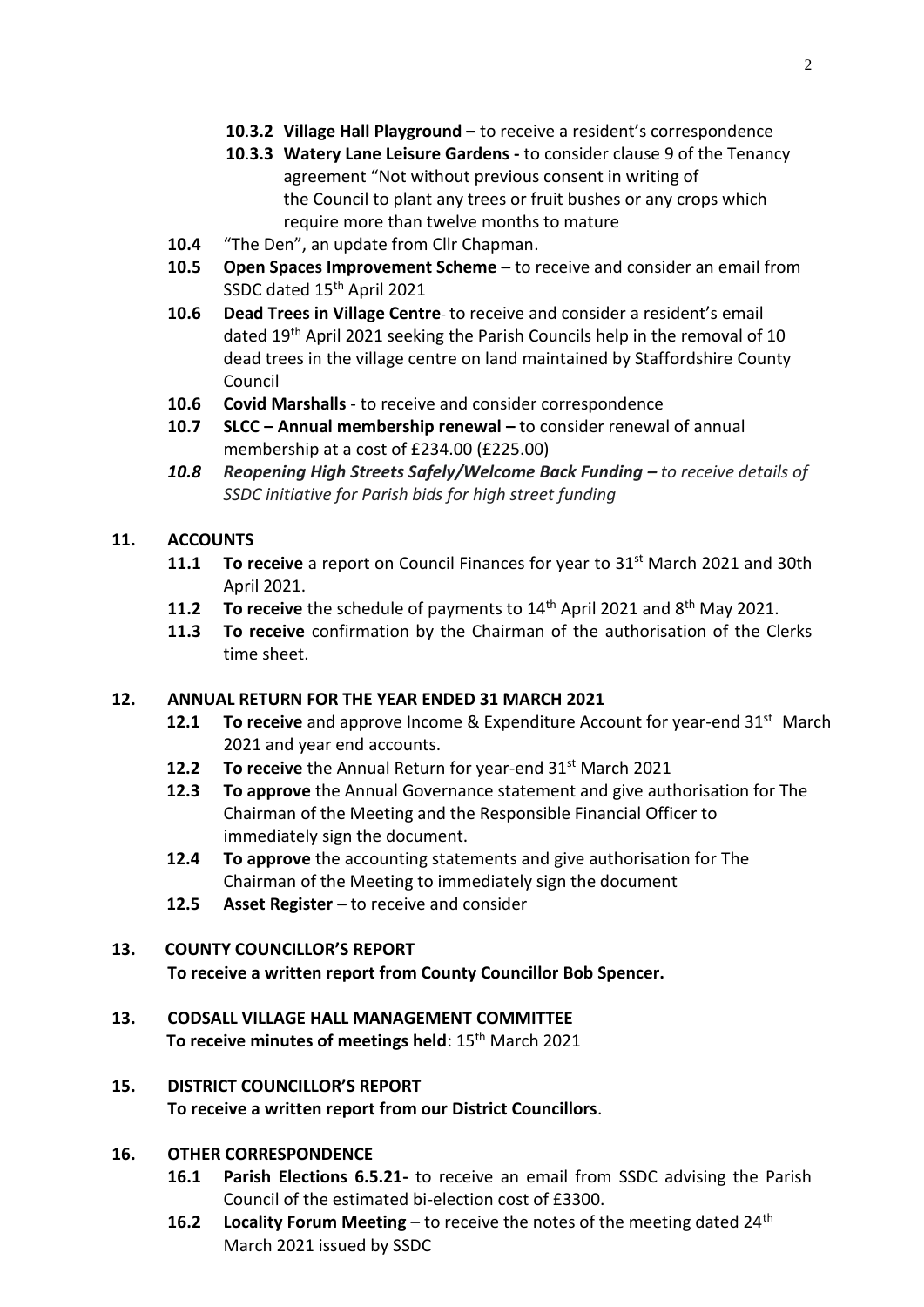- **10**.**3.2 Village Hall Playground –** to receive a resident's correspondence
- **10**.**3.3 Watery Lane Leisure Gardens -** to consider clause 9 of the Tenancy agreement "Not without previous consent in writing of the Council to plant any trees or fruit bushes or any crops which require more than twelve months to mature
- **10.4** "The Den", an update from Cllr Chapman.
- **10.5 Open Spaces Improvement Scheme –** to receive and consider an email from SSDC dated 15<sup>th</sup> April 2021
- **10.6 Dead Trees in Village Centre** to receive and consider a resident's email dated 19<sup>th</sup> April 2021 seeking the Parish Councils help in the removal of 10 dead trees in the village centre on land maintained by Staffordshire County Council
- **10.6 Covid Marshalls**  to receive and consider correspondence
- **10.7 SLCC – Annual membership renewal –** to consider renewal of annual membership at a cost of £234.00 (£225.00)
- *10.8 Reopening High Streets Safely/Welcome Back Funding – to receive details of SSDC initiative for Parish bids for high street funding*

#### **11. ACCOUNTS**

- **11.1 To receive** a report on Council Finances for year to 31st March 2021 and 30th April 2021.
- **11.2** To receive the schedule of payments to 14<sup>th</sup> April 2021 and 8<sup>th</sup> May 2021.
- **11.3 To receive** confirmation by the Chairman of the authorisation of the Clerks time sheet.

#### **12. ANNUAL RETURN FOR THE YEAR ENDED 31 MARCH 2021**

- **12.1 To receive** and approve Income & Expenditure Account for year-end 31st March 2021 and year end accounts.
- **12.2** To receive the Annual Return for year-end 31<sup>st</sup> March 2021
- **12.3 To approve** the Annual Governance statement and give authorisation for The Chairman of the Meeting and the Responsible Financial Officer to immediately sign the document.
- **12.4 To approve** the accounting statements and give authorisation for The Chairman of the Meeting to immediately sign the document
- **12.5 Asset Register –** to receive and consider

## **13. COUNTY COUNCILLOR'S REPORT**

**To receive a written report from County Councillor Bob Spencer.**

## **13. CODSALL VILLAGE HALL MANAGEMENT COMMITTEE To receive minutes of meetings held**: 15<sup>th</sup> March 2021

## **15. DISTRICT COUNCILLOR'S REPORT To receive a written report from our District Councillors**.

## **16. OTHER CORRESPONDENCE**

- **16.1 Parish Elections 6.5.21-** to receive an email from SSDC advising the Parish Council of the estimated bi-election cost of £3300.
- **16.2 Locality Forum Meeting** to receive the notes of the meeting dated 24th March 2021 issued by SSDC